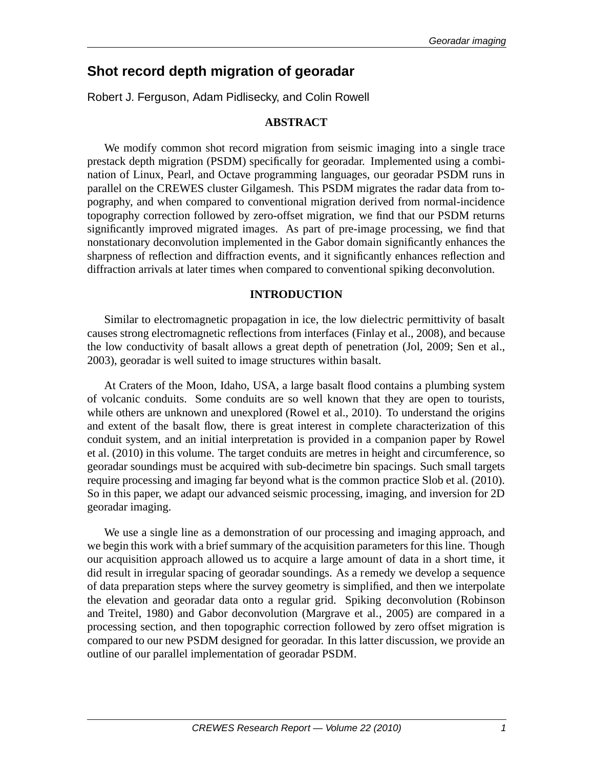# **Shot record depth migration of georadar**

Robert J. Ferguson, Adam Pidlisecky, and Colin Rowell

# **ABSTRACT**

We modify common shot record migration from seismic imaging into a single trace prestack depth migration (PSDM) specifically for georadar. Implemented using a combination of Linux, Pearl, and Octave programming languages, our georadar PSDM runs in parallel on the CREWES cluster Gilgamesh. This PSDM migrates the radar data from topography, and when compared to conventional migration derived from normal-incidence topography correction followed by zero-offset migration, we find that our PSDM returns significantly improved migrated images. As part of pre-image processing, we find that nonstationary deconvolution implemented in the Gabor domain significantly enhances the sharpness of reflection and diffraction events, and it significantly enhances reflection and diffraction arrivals at later times when compared to conventional spiking deconvolution.

# **INTRODUCTION**

Similar to electromagnetic propagation in ice, the low dielectric permittivity of basalt causes strong electromagnetic reflections from interfaces (Finlay et al., 2008), and because the low conductivity of basalt allows a great depth of penetration (Jol, 2009; Sen et al., 2003), georadar is well suited to image structures within basalt.

At Craters of the Moon, Idaho, USA, a large basalt flood contains a plumbing system of volcanic conduits. Some conduits are so well known that they are open to tourists, while others are unknown and unexplored (Rowel et al., 2010). To understand the origins and extent of the basalt flow, there is great interest in complete characterization of this conduit system, and an initial interpretation is provided in a companion paper by Rowel et al. (2010) in this volume. The target conduits are metres in height and circumference, so georadar soundings must be acquired with sub-decimetre bin spacings. Such small targets require processing and imaging far beyond what is the common practice Slob et al. (2010). So in this paper, we adapt our advanced seismic processing, imaging, and inversion for 2D georadar imaging.

We use a single line as a demonstration of our processing and imaging approach, and we begin this work with a brief summary of the acquisition parameters for this line. Though our acquisition approach allowed us to acquire a large amount of data in a short time, it did result in irregular spacing of georadar soundings. As a remedy we develop a sequence of data preparation steps where the survey geometry is simplified, and then we interpolate the elevation and georadar data onto a regular grid. Spiking deconvolution (Robinson and Treitel, 1980) and Gabor deconvolution (Margrave et al., 2005) are compared in a processing section, and then topographic correction followed by zero offset migration is compared to our new PSDM designed for georadar. In this latter discussion, we provide an outline of our parallel implementation of georadar PSDM.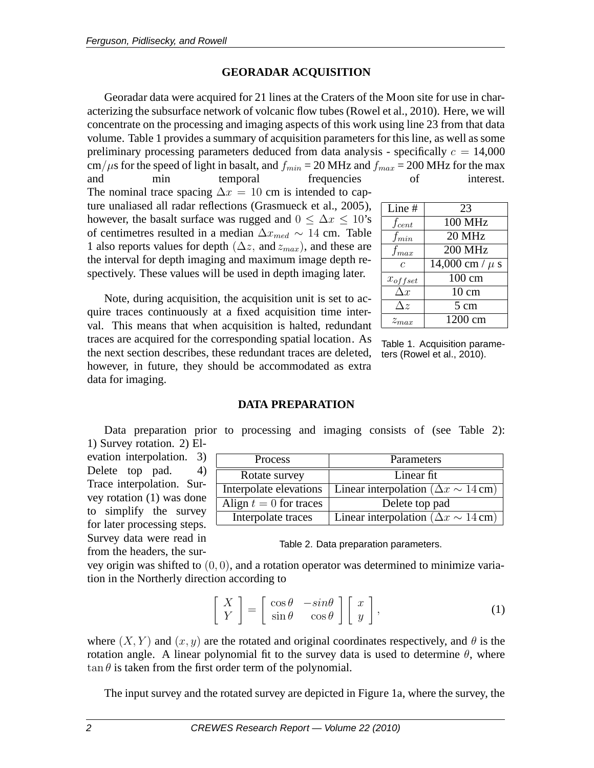### **GEORADAR ACQUISITION**

Georadar data were acquired for 21 lines at the Craters of the Moon site for use in characterizing the subsurface network of volcanic flow tubes (Rowel et al., 2010). Here, we will concentrate on the processing and imaging aspects of this work using line 23 from that data volume. Table 1 provides a summary of acquisition parameters for this line, as well as some preliminary processing parameters deduced from data analysis - specifically  $c = 14,000$ cm/ $\mu$ s for the speed of light in basalt, and  $f_{min} = 20$  MHz and  $f_{max} = 200$  MHz for the max and min temporal frequencies of interest.

The nominal trace spacing  $\Delta x = 10$  cm is intended to capture unaliased all radar reflections (Grasmueck et al., 2005), however, the basalt surface was rugged and  $0 \leq \Delta x \leq 10$ 's of centimetres resulted in a median  $\Delta x_{med} \sim 14$  cm. Table 1 also reports values for depth ( $\Delta z$ , and  $z_{max}$ ), and these are the interval for depth imaging and maximum image depth respectively. These values will be used in depth imaging later.

Note, during acquisition, the acquisition unit is set to acquire traces continuously at a fixed acquisition time interval. This means that when acquisition is halted, redundant traces are acquired for the corresponding spatial location. As the next section describes, these redundant traces are deleted, however, in future, they should be accommodated as extra data for imaging.

| $\overline{\text{Line}}$ # | 23                           |
|----------------------------|------------------------------|
| $f_{cent}$                 | <b>100 MHz</b>               |
| $f_{min}$                  | $20$ MHz                     |
| $f_{max}$                  | $200$ MHz                    |
| $\epsilon$                 | $\sqrt{14,000}$ cm / $\mu$ s |
| $x_{offset}$               | $\overline{1}00 \text{ cm}$  |
| $\Delta x$                 | $10 \text{ cm}$              |
| $\Delta z$                 | 5 cm                         |
| $z_{max}$                  | $\overline{1200}$ cm         |

Table 1. Acquisition parameters (Rowel et al., 2010).

#### **DATA PREPARATION**

Data preparation prior to processing and imaging consists of (see Table 2): 1) Survey rotation. 2) El-

evation interpolation. 3) Delete top pad. 4) Trace interpolation. Survey rotation (1) was done to simplify the survey for later processing steps. Survey data were read in from the headers, the sur-

| Process                  | Parameters                                    |
|--------------------------|-----------------------------------------------|
| Rotate survey            | Linear fit                                    |
| Interpolate elevations   | Linear interpolation ( $\Delta x \sim 14$ cm) |
| Align $t = 0$ for traces | Delete top pad                                |
| Interpolate traces       | Linear interpolation ( $\Delta x \sim 14$ cm) |

#### Table 2. Data preparation parameters.

vey origin was shifted to (0, 0), and a rotation operator was determined to minimize variation in the Northerly direction according to

$$
\begin{bmatrix} X \\ Y \end{bmatrix} = \begin{bmatrix} \cos \theta & -\sin \theta \\ \sin \theta & \cos \theta \end{bmatrix} \begin{bmatrix} x \\ y \end{bmatrix},
$$
 (1)

where  $(X, Y)$  and  $(x, y)$  are the rotated and original coordinates respectively, and  $\theta$  is the rotation angle. A linear polynomial fit to the survey data is used to determine  $\theta$ , where  $\tan \theta$  is taken from the first order term of the polynomial.

The input survey and the rotated survey are depicted in Figure 1a, where the survey, the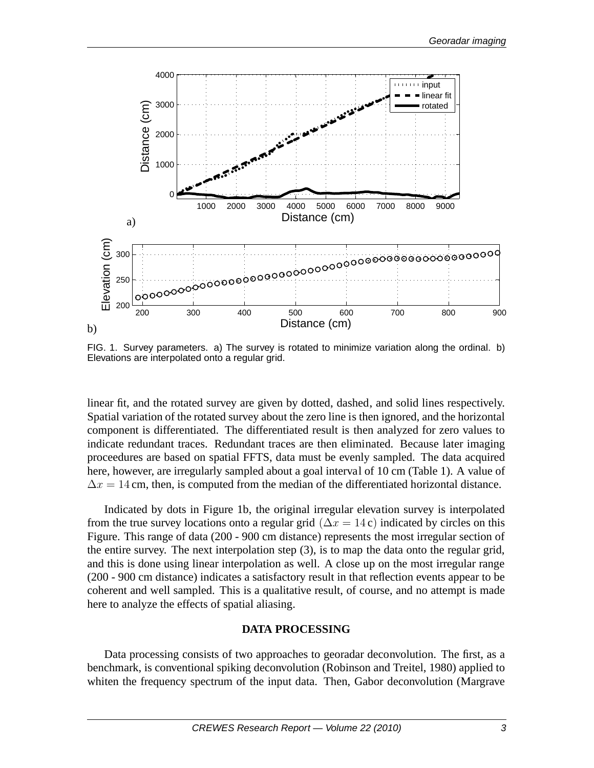

FIG. 1. Survey parameters. a) The survey is rotated to minimize variation along the ordinal. b) Elevations are interpolated onto a regular grid.

linear fit, and the rotated survey are given by dotted, dashed, and solid lines respectively. Spatial variation of the rotated survey about the zero line is then ignored, and the horizontal component is differentiated. The differentiated result is then analyzed for zero values to indicate redundant traces. Redundant traces are then eliminated. Because later imaging proceedures are based on spatial FFTS, data must be evenly sampled. The data acquired here, however, are irregularly sampled about a goal interval of 10 cm (Table 1). A value of  $\Delta x = 14$  cm, then, is computed from the median of the differentiated horizontal distance.

Indicated by dots in Figure 1b, the original irregular elevation survey is interpolated from the true survey locations onto a regular grid ( $\Delta x = 14$  c) indicated by circles on this Figure. This range of data (200 - 900 cm distance) represents the most irregular section of the entire survey. The next interpolation step (3), is to map the data onto the regular grid, and this is done using linear interpolation as well. A close up on the most irregular range (200 - 900 cm distance) indicates a satisfactory result in that reflection events appear to be coherent and well sampled. This is a qualitative result, of course, and no attempt is made here to analyze the effects of spatial aliasing.

#### **DATA PROCESSING**

Data processing consists of two approaches to georadar deconvolution. The first, as a benchmark, is conventional spiking deconvolution (Robinson and Treitel, 1980) applied to whiten the frequency spectrum of the input data. Then, Gabor deconvolution (Margrave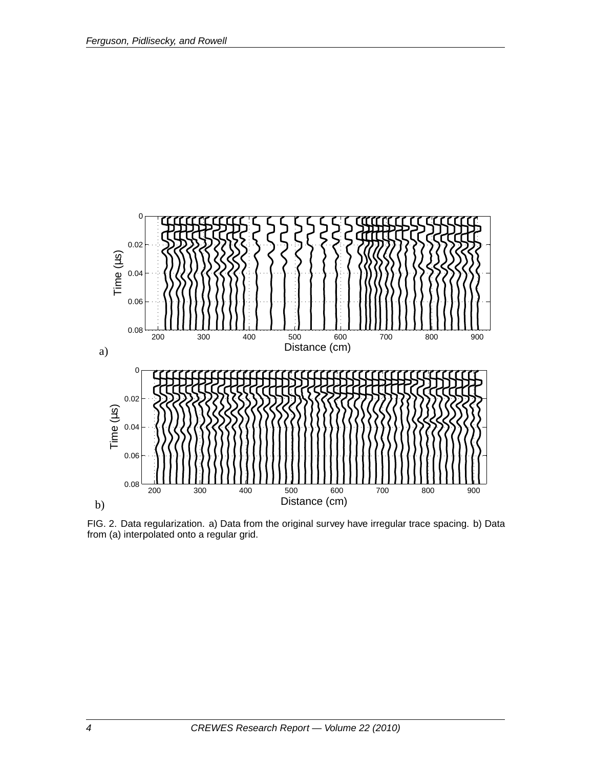

FIG. 2. Data regularization. a) Data from the original survey have irregular trace spacing. b) Data from (a) interpolated onto a regular grid.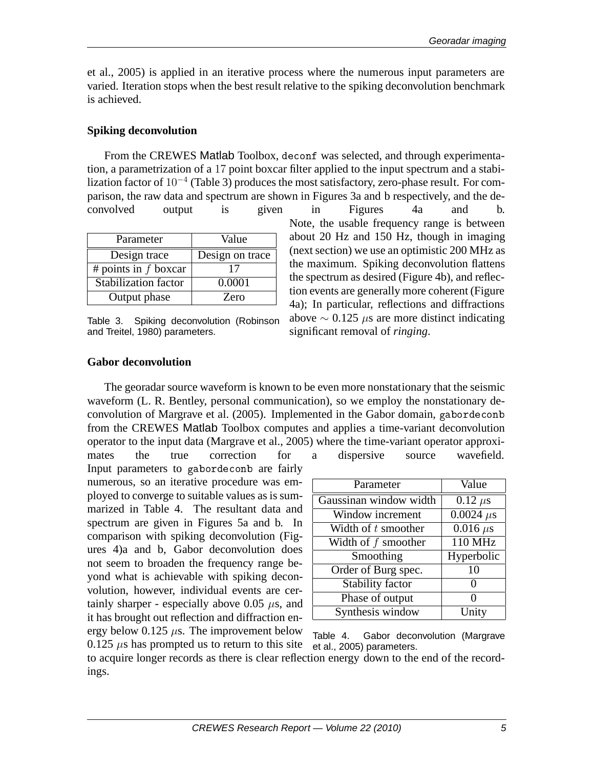et al., 2005) is applied in an iterative process where the numerous input parameters are varied. Iteration stops when the best result relative to the spiking deconvolution benchmark is achieved.

#### **Spiking deconvolution**

From the CREWES Matlab Toolbox, deconf was selected, and through experimentation, a parametrization of a 17 point boxcar filter applied to the input spectrum and a stabilization factor of 10<sup>−</sup><sup>4</sup> (Table 3) produces the most satisfactory, zero-phase result. For comparison, the raw data and spectrum are shown in Figures 3a and b respectively, and the deconvolved output is given in Figures 4a and b.

| Parameter              | Value           |
|------------------------|-----------------|
| Design trace           | Design on trace |
| # points in $f$ boxcar | 17              |
| Stabilization factor   | 0.0001          |
| Output phase           | Zero            |

Table 3. Spiking deconvolution (Robinson and Treitel, 1980) parameters.

Note, the usable frequency range is between about 20 Hz and 150 Hz, though in imaging (next section) we use an optimistic 200 MHz as the maximum. Spiking deconvolution flattens the spectrum as desired (Figure 4b), and reflection events are generally more coherent (Figure 4a); In particular, reflections and diffractions above  $\sim$  0.125  $\mu$ s are more distinct indicating significant removal of *ringing*.

#### **Gabor deconvolution**

The georadar source waveform is known to be even more nonstationary that the seismic waveform (L. R. Bentley, personal communication), so we employ the nonstationary deconvolution of Margrave et al. (2005). Implemented in the Gabor domain, gabordeconb from the CREWES Matlab Toolbox computes and applies a time-variant deconvolution operator to the input data (Margrave et al., 2005) where the time-variant operator approxi-

mates the true correction for a dispersive source wavefield. Input parameters to gabordeconb are fairly numerous, so an iterative procedure was employed to converge to suitable values as is summarized in Table 4. The resultant data and spectrum are given in Figures 5a and b. In comparison with spiking deconvolution (Figures 4)a and b, Gabor deconvolution does not seem to broaden the frequency range beyond what is achievable with spiking deconvolution, however, individual events are certainly sharper - especially above 0.05  $\mu$ s, and it has brought out reflection and diffraction energy below  $0.125 \mu s$ . The improvement below  $0.125 \mu s$  has prompted us to return to this site

| Parameter               | Value                      |
|-------------------------|----------------------------|
| Gaussinan window width  | $0.12 \ \mu s$             |
| Window increment        | $0.0024 \mu s$             |
| Width of $t$ smoother   | $\overline{0.016}$ $\mu$ s |
| Width of $f$ smoother   | 110 MHz                    |
| Smoothing               | Hyperbolic                 |
| Order of Burg spec.     | 10                         |
| <b>Stability factor</b> | 0                          |
| Phase of output         | 0                          |
| Synthesis window        | Unity                      |

Table 4. Gabor deconvolution (Margrave et al., 2005) parameters.

to acquire longer records as there is clear reflection energy down to the end of the recordings.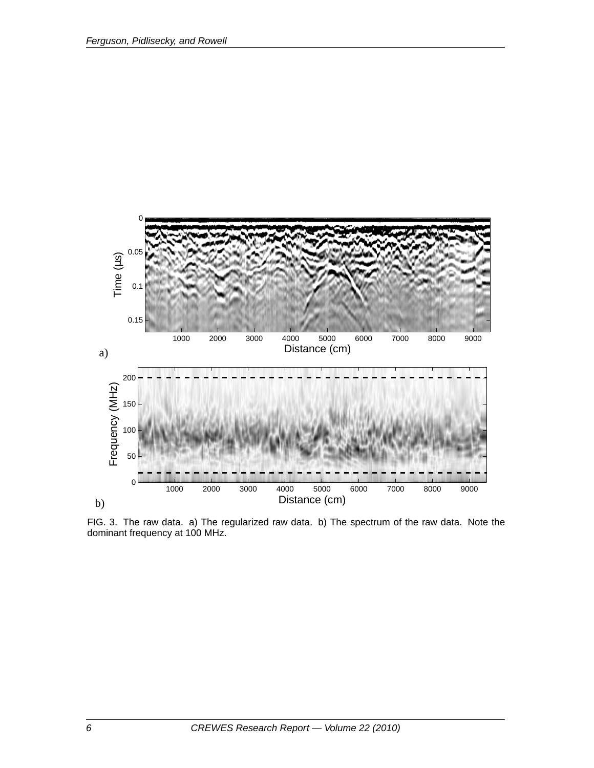

FIG. 3. The raw data. a) The regularized raw data. b) The spectrum of the raw data. Note the dominant frequency at 100 MHz.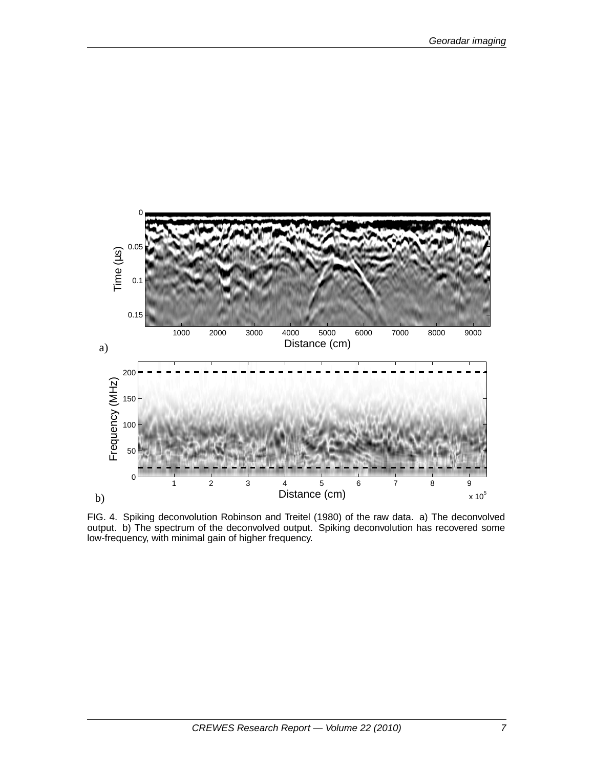

FIG. 4. Spiking deconvolution Robinson and Treitel (1980) of the raw data. a) The deconvolved output. b) The spectrum of the deconvolved output. Spiking deconvolution has recovered some low-frequency, with minimal gain of higher frequency.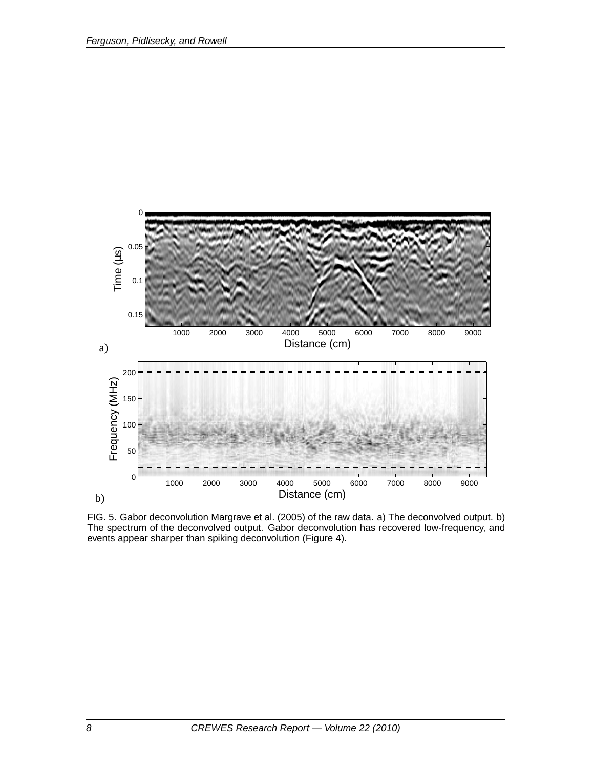

FIG. 5. Gabor deconvolution Margrave et al. (2005) of the raw data. a) The deconvolved output. b) The spectrum of the deconvolved output. Gabor deconvolution has recovered low-frequency, and events appear sharper than spiking deconvolution (Figure 4).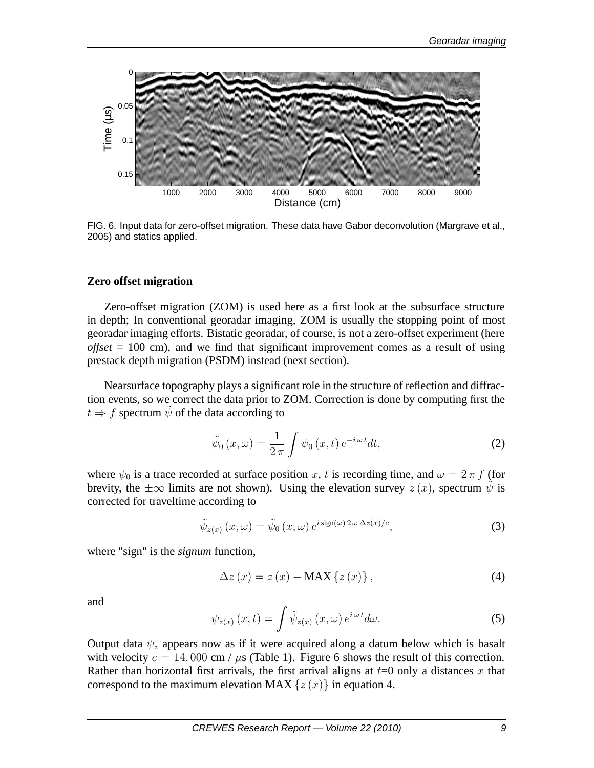

FIG. 6. Input data for zero-offset migration. These data have Gabor deconvolution (Margrave et al., 2005) and statics applied.

#### **Zero offset migration**

Zero-offset migration (ZOM) is used here as a first look at the subsurface structure in depth; In conventional georadar imaging, ZOM is usually the stopping point of most georadar imaging efforts. Bistatic georadar, of course, is not a zero-offset experiment (here *offset* = 100 cm), and we find that significant improvement comes as a result of using prestack depth migration (PSDM) instead (next section).

Nearsurface topography plays a significant role in the structure of reflection and diffraction events, so we correct the data prior to ZOM. Correction is done by computing first the  $t \Rightarrow f$  spectrum  $\psi$  of the data according to

$$
\tilde{\psi}_0(x,\omega) = \frac{1}{2\pi} \int \psi_0(x,t) e^{-i\omega t} dt,\tag{2}
$$

where  $\psi_0$  is a trace recorded at surface position x, t is recording time, and  $\omega = 2 \pi f$  (for brevity, the  $\pm\infty$  limits are not shown). Using the elevation survey  $z(x)$ , spectrum  $\psi$  is corrected for traveltime according to

$$
\tilde{\psi}_{z(x)}(x,\omega) = \tilde{\psi}_0(x,\omega) e^{i \operatorname{sign}(\omega) 2\omega \Delta z(x)/c}, \tag{3}
$$

where "sign" is the *signum* function,

$$
\Delta z(x) = z(x) - \text{MAX} \{z(x)\},\tag{4}
$$

and

$$
\psi_{z(x)}(x,t) = \int \tilde{\psi}_{z(x)}(x,\omega) e^{i\omega t} d\omega.
$$
 (5)

Output data  $\psi_z$  appears now as if it were acquired along a datum below which is basalt with velocity  $c = 14,000$  cm /  $\mu$ s (Table 1). Figure 6 shows the result of this correction. Rather than horizontal first arrivals, the first arrival aligns at  $t=0$  only a distances x that correspond to the maximum elevation MAX  $\{z(x)\}\$ in equation 4.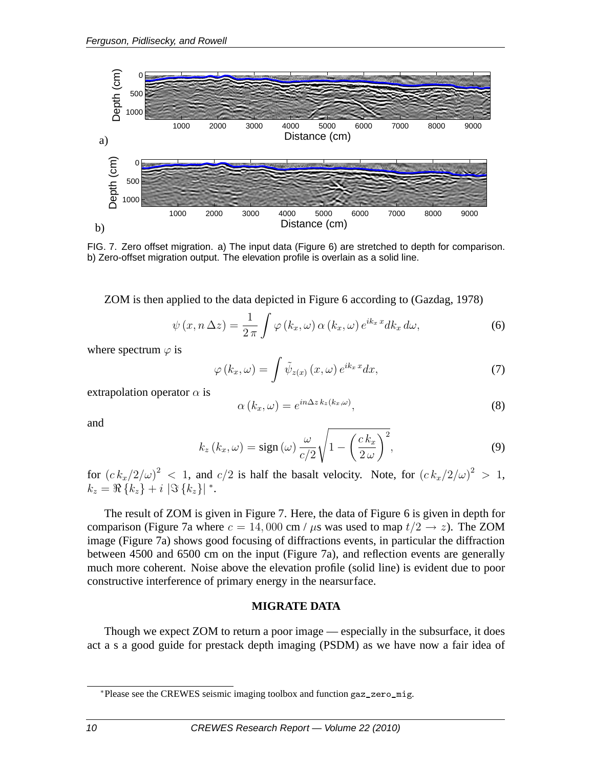

FIG. 7. Zero offset migration. a) The input data (Figure 6) are stretched to depth for comparison. b) Zero-offset migration output. The elevation profile is overlain as a solid line.

ZOM is then applied to the data depicted in Figure 6 according to (Gazdag, 1978)

$$
\psi(x, n \Delta z) = \frac{1}{2\pi} \int \varphi(k_x, \omega) \alpha(k_x, \omega) e^{ik_x x} dk_x d\omega,
$$
\n(6)

where spectrum  $\varphi$  is

$$
\varphi\left(k_x,\omega\right) = \int \tilde{\psi}_{z(x)}\left(x,\omega\right) e^{ik_x x} dx,\tag{7}
$$

extrapolation operator  $\alpha$  is

$$
\alpha(k_x, \omega) = e^{in\Delta z \, k_z(k_x, \omega)},\tag{8}
$$

and

$$
k_z (k_x, \omega) = \text{sign}(\omega) \frac{\omega}{c/2} \sqrt{1 - \left(\frac{c k_x}{2 \omega}\right)^2},\tag{9}
$$

for  $(c k_x/2/\omega)^2 < 1$ , and  $c/2$  is half the basalt velocity. Note, for  $(c k_x/2/\omega)^2 > 1$ ,  $k_z = \Re\left\{k_z\right\} + i\,\left|\Im\left\{k_z\right\}\right|^*.$ 

The result of ZOM is given in Figure 7. Here, the data of Figure 6 is given in depth for comparison (Figure 7a where  $c = 14,000$  cm /  $\mu$ s was used to map  $t/2 \rightarrow z$ ). The ZOM image (Figure 7a) shows good focusing of diffractions events, in particular the diffraction between 4500 and 6500 cm on the input (Figure 7a), and reflection events are generally much more coherent. Noise above the elevation profile (solid line) is evident due to poor constructive interference of primary energy in the nearsurface.

#### **MIGRATE DATA**

Though we expect ZOM to return a poor image — especially in the subsurface, it does act a s a good guide for prestack depth imaging (PSDM) as we have now a fair idea of

<sup>∗</sup>Please see the CREWES seismic imaging toolbox and function gaz\_zero\_mig.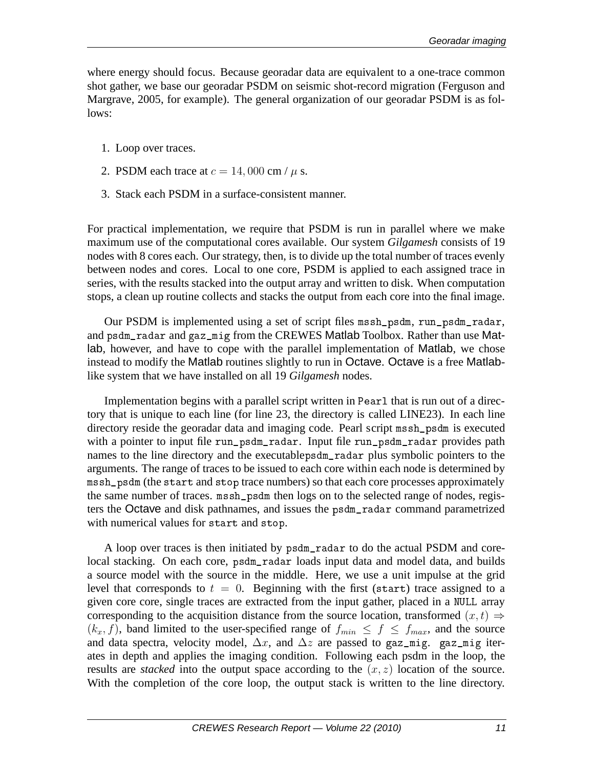where energy should focus. Because georadar data are equivalent to a one-trace common shot gather, we base our georadar PSDM on seismic shot-record migration (Ferguson and Margrave, 2005, for example). The general organization of our georadar PSDM is as follows:

- 1. Loop over traces.
- 2. PSDM each trace at  $c = 14,000$  cm /  $\mu$  s.
- 3. Stack each PSDM in a surface-consistent manner.

For practical implementation, we require that PSDM is run in parallel where we make maximum use of the computational cores available. Our system *Gilgamesh* consists of 19 nodes with 8 cores each. Our strategy, then, is to divide up the total number of traces evenly between nodes and cores. Local to one core, PSDM is applied to each assigned trace in series, with the results stacked into the output array and written to disk. When computation stops, a clean up routine collects and stacks the output from each core into the final image.

Our PSDM is implemented using a set of script files mssh\_psdm, run\_psdm\_radar, and psdm\_radar and gaz\_mig from the CREWES Matlab Toolbox. Rather than use Matlab, however, and have to cope with the parallel implementation of Matlab, we chose instead to modify the Matlab routines slightly to run in Octave. Octave is a free Matlablike system that we have installed on all 19 *Gilgamesh* nodes.

Implementation begins with a parallel script written in Pearl that is run out of a directory that is unique to each line (for line 23, the directory is called LINE23). In each line directory reside the georadar data and imaging code. Pearl script mssh\_psdm is executed with a pointer to input file run\_psdm\_radar. Input file run\_psdm\_radar provides path names to the line directory and the executablepsdm\_radar plus symbolic pointers to the arguments. The range of traces to be issued to each core within each node is determined by mssh\_psdm (the start and stop trace numbers) so that each core processes approximately the same number of traces. mssh\_psdm then logs on to the selected range of nodes, registers the Octave and disk pathnames, and issues the psdm\_radar command parametrized with numerical values for start and stop.

A loop over traces is then initiated by psdm\_radar to do the actual PSDM and corelocal stacking. On each core, psdm\_radar loads input data and model data, and builds a source model with the source in the middle. Here, we use a unit impulse at the grid level that corresponds to  $t = 0$ . Beginning with the first (start) trace assigned to a given core core, single traces are extracted from the input gather, placed in a NULL array corresponding to the acquisition distance from the source location, transformed  $(x,t) \Rightarrow$  $(k_x, f)$ , band limited to the user-specified range of  $f_{min} \le f \le f_{max}$ , and the source and data spectra, velocity model,  $\Delta x$ , and  $\Delta z$  are passed to gaz\_mig. gaz\_mig iterates in depth and applies the imaging condition. Following each psdm in the loop, the results are *stacked* into the output space according to the  $(x, z)$  location of the source. With the completion of the core loop, the output stack is written to the line directory.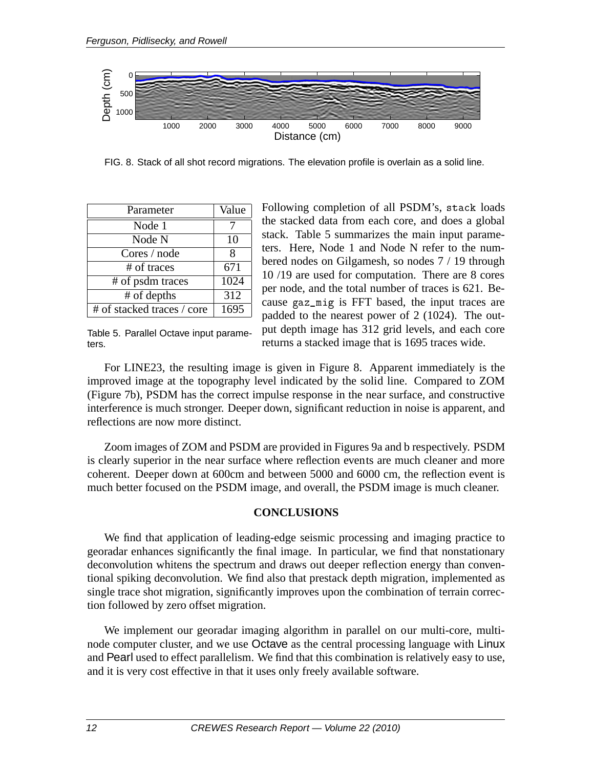

FIG. 8. Stack of all shot record migrations. The elevation profile is overlain as a solid line.

| Parameter                  | Value            |
|----------------------------|------------------|
| Node 1                     |                  |
| Node N                     | 10               |
| Cores / node               | 8                |
| # of traces                | 671              |
| # of psdm traces           | 1024             |
| # of depths                | $\overline{312}$ |
| # of stacked traces / core | 1695             |

Following completion of all PSDM's, stack loads the stacked data from each core, and does a global stack. Table 5 summarizes the main input parameters. Here, Node 1 and Node N refer to the numbered nodes on Gilgamesh, so nodes 7 / 19 through 10 /19 are used for computation. There are 8 cores per node, and the total number of traces is 621. Because gaz\_mig is FFT based, the input traces are padded to the nearest power of 2 (1024). The output depth image has 312 grid levels, and each core returns a stacked image that is 1695 traces wide.

Table 5. Parallel Octave input parameters.

For LINE23, the resulting image is given in Figure 8. Apparent immediately is the improved image at the topography level indicated by the solid line. Compared to ZOM (Figure 7b), PSDM has the correct impulse response in the near surface, and constructive interference is much stronger. Deeper down, significant reduction in noise is apparent, and reflections are now more distinct.

Zoom images of ZOM and PSDM are provided in Figures 9a and b respectively. PSDM is clearly superior in the near surface where reflection events are much cleaner and more coherent. Deeper down at 600cm and between 5000 and 6000 cm, the reflection event is much better focused on the PSDM image, and overall, the PSDM image is much cleaner.

#### **CONCLUSIONS**

We find that application of leading-edge seismic processing and imaging practice to georadar enhances significantly the final image. In particular, we find that nonstationary deconvolution whitens the spectrum and draws out deeper reflection energy than conventional spiking deconvolution. We find also that prestack depth migration, implemented as single trace shot migration, significantly improves upon the combination of terrain correction followed by zero offset migration.

We implement our georadar imaging algorithm in parallel on our multi-core, multinode computer cluster, and we use Octave as the central processing language with Linux and Pearl used to effect parallelism. We find that this combination is relatively easy to use, and it is very cost effective in that it uses only freely available software.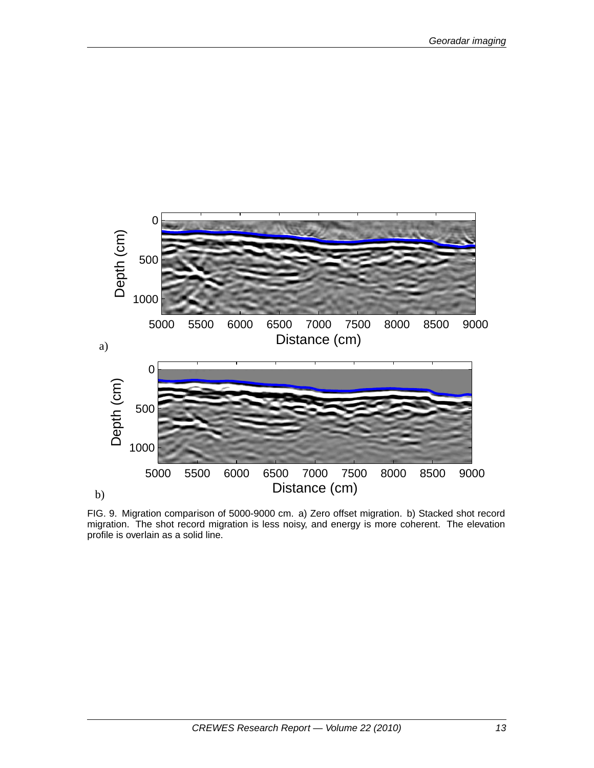

FIG. 9. Migration comparison of 5000-9000 cm. a) Zero offset migration. b) Stacked shot record migration. The shot record migration is less noisy, and energy is more coherent. The elevation profile is overlain as a solid line.